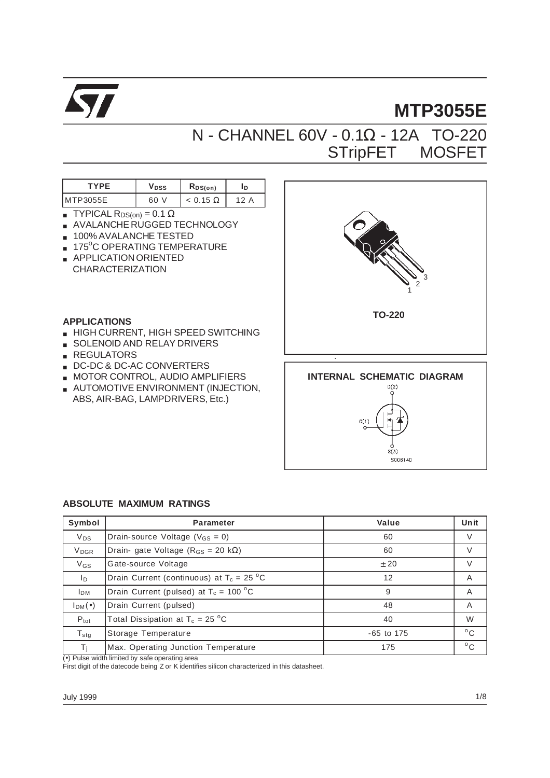

# **MTP3055E**

## N - CHANNEL 60V - 0.1Ω - 12A TO-220 STripFET<sup>™</sup> MOSFET

| rvde   | Vpss | $R_{DS(on)}$             | ΙD     |
|--------|------|--------------------------|--------|
| P3055E | 60   | $\overline{\phantom{a}}$ | ◠<br>А |

- **TYPICAL RDS(on) = 0.1 Ω**
- AVALANCHE RUGGED TECHNOLOGY
- 100% AVALANCHE TESTED
- 175<sup>o</sup>C OPERATING TEMPERATURE
- APPLICATION ORIENTED CHARACTERIZATION

#### **APPLICATIONS**

- HIGH CURRENT, HIGH SPEED SWITCHING
- SOLENOID AND RELAY DRIVERS
- REGULATORS
- DC-DC & DC-AC CONVERTERS
- **MOTOR CONTROL, AUDIO AMPLIFIERS**
- AUTOMOTIVE ENVIRONMENT (INJECTION, ABS, AIR-BAG, LAMPDRIVERS, Etc.)



 $\bar{\mathbf{s}}(\bar{\mathbf{3}})$ SC06140

#### **ABSOLUTE MAXIMUM RATINGS**

| Symbol                  | <b>Parameter</b>                                 | Value        | Unit         |
|-------------------------|--------------------------------------------------|--------------|--------------|
| <b>V<sub>DS</sub></b>   | Drain-source Voltage ( $V_{GS} = 0$ )            | 60           | V            |
| <b>V</b> <sub>DGR</sub> | Drain- gate Voltage ( $R_{GS}$ = 20 k $\Omega$ ) | 60           | V            |
| $V_{GS}$                | Gate-source Voltage                              | $+20$        | V            |
| lp.                     | Drain Current (continuous) at $T_c = 25$ °C      | 12           | A            |
| <b>I</b> <sub>DM</sub>  | Drain Current (pulsed) at $T_c = 100 \degree C$  | 9            | A            |
| $I_{DM}(\bullet)$       | Drain Current (pulsed)                           | 48           | A            |
| $P_{\text{tot}}$        | Total Dissipation at $T_c = 25$ °C               | 40           | W            |
| $T_{\text{stg}}$        | Storage Temperature                              | $-65$ to 175 | $^{\circ}$ C |
| Τi                      | Max. Operating Junction Temperature              | 175          | $^{\circ}$ C |

(•) Pulse width limited by safe operating area

First digit of the datecode being Z or K identifies silicon characterized in this datasheet.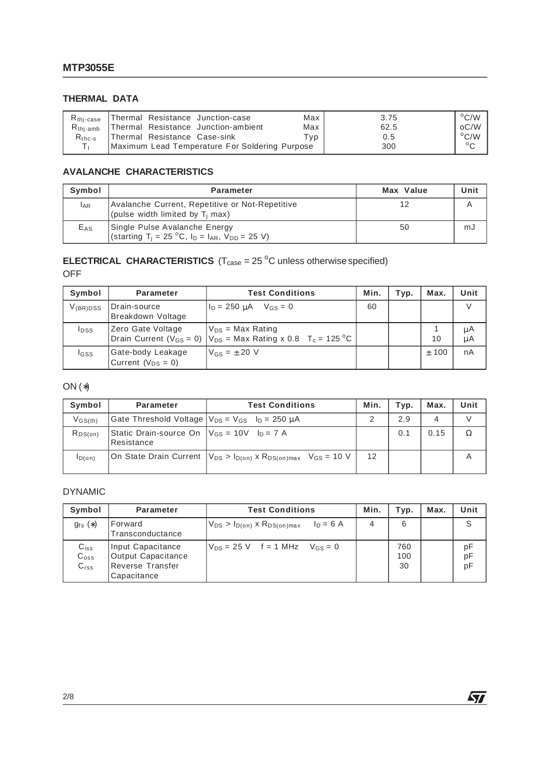#### **THERMAL DATA**

| R <sub>thi-case</sub><br>$R_{\text{thi-amb}}$ | Thermal Resistance Junction-case<br>Thermal Resistance Junction-ambient | Max<br>Max | 3.75<br>62.5 | $\rm ^{o}C/W$<br>oC/W |
|-----------------------------------------------|-------------------------------------------------------------------------|------------|--------------|-----------------------|
| $R_{thc-s}$                                   | Thermal Resistance Case-sink                                            | Tvp.       | 0.5          | $\rm ^{o}C/W$         |
|                                               | Maximum Lead Temperature For Soldering Purpose                          |            | 300          | $\circ$               |

#### **AVALANCHE CHARACTERISTICS**

| Symbol     | Parameter                                                                                                                     | Max Value | Unit |
|------------|-------------------------------------------------------------------------------------------------------------------------------|-----------|------|
| <b>LAR</b> | Avalanche Current, Repetitive or Not-Repetitive<br>(pulse width limited by $T_i$ max)                                         | 12        |      |
| $E_{AS}$   | Single Pulse Avalanche Energy<br>(starting T <sub>i</sub> = 25 °C, I <sub>D</sub> = I <sub>AR</sub> , V <sub>DD</sub> = 25 V) | 50        | mJ   |

#### **ELECTRICAL CHARACTERISTICS**  $(T_{\text{case}} = 25 \degree C)$  unless otherwise specified) OFF

| Symbol        | <b>Parameter</b>                              | <b>Test Conditions</b>                                                                                        | Min. | Typ. | Max.    | Unit     |
|---------------|-----------------------------------------------|---------------------------------------------------------------------------------------------------------------|------|------|---------|----------|
| $V_{(BR)DSS}$ | Drain-source<br>Breakdown Voltage             | $I_{D}$ = 250 $\mu$ A $V_{GS}$ = 0                                                                            | 60   |      |         |          |
| <b>I</b> pss  | Zero Gate Voltage                             | $V_{DS}$ = Max Rating<br>Drain Current ( $V_{GS} = 0$ )   $V_{DS} =$ Max Rating x 0.8 T <sub>c</sub> = 125 °C |      |      | 10      | μA<br>μA |
| <b>I</b> GSS  | Gate-body Leakage<br>Current ( $V_{DS} = 0$ ) | $V_{GS} = \pm 20$ V                                                                                           |      |      | $±$ 100 | nA       |

### ON (∗)

| Symbol                             | <b>Parameter</b>                                                | <b>Test Conditions</b>                                                                   | Min. | Typ. | Max. | Unit |
|------------------------------------|-----------------------------------------------------------------|------------------------------------------------------------------------------------------|------|------|------|------|
| $V$ <sub>GS<math>(th)</math></sub> | Gate Threshold Voltage $ V_{DS} = V_{GS}$ $I_D = 250 \mu A$     |                                                                                          |      | 2.9  | 4    |      |
| $R_{DS(on)}$                       | Static Drain-source On $V_{GS} = 10V$ $I_D = 7 A$<br>Resistance |                                                                                          |      | 0.1  | 0.15 |      |
| ID(on)                             |                                                                 | On State Drain Current $ V_{DS} > I_{D(0n)} \times R_{DS(0n)max}$ V <sub>GS</sub> = 10 V | 12   |      |      |      |

#### DYNAMIC

| Symbol                                  | Parameter                                                                  | <b>Test Conditions</b>                                    | Min. | Typ.             | Max. | Unit           |
|-----------------------------------------|----------------------------------------------------------------------------|-----------------------------------------------------------|------|------------------|------|----------------|
| $g_{fs}(*)$                             | Forward<br>Transconductance                                                | $V_{DS} > I_{D(on)}$ x R <sub>DS(on)max</sub> $I_D = 6$ A | 4    | 6                |      | S              |
| $C_{iss}$<br>$C_{\rm oss}$<br>$C_{rss}$ | Input Capacitance<br>Output Capacitance<br>Reverse Transfer<br>Capacitance | $V_{DS} = 25 V$ f = 1 MHz $V_{GS} = 0$                    |      | 760<br>100<br>30 |      | рF<br>pF<br>pF |

 $\sqrt{2}$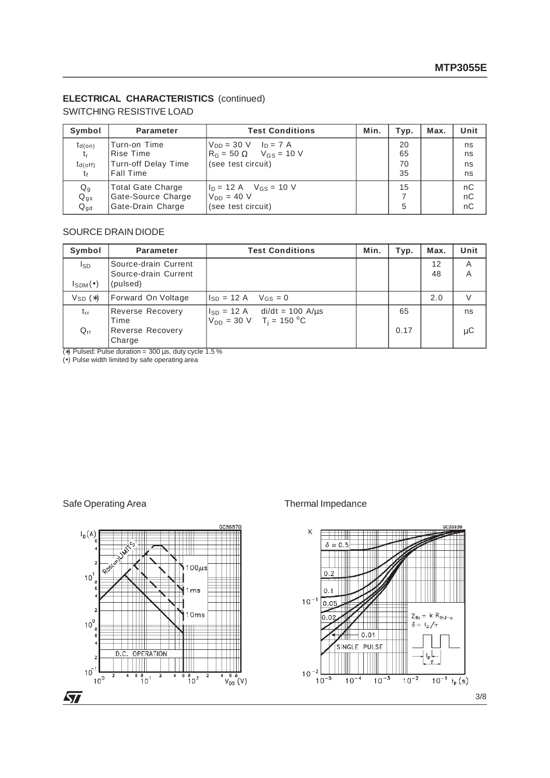#### **ELECTRICAL CHARACTERISTICS** (continued)

SWITCHING RESISTIVE LOAD

| Symbol                                  | <b>Parameter</b>                                                    | <b>Test Conditions</b>                                                                                 | Min. | Typ.                 | Max. | Unit                 |
|-----------------------------------------|---------------------------------------------------------------------|--------------------------------------------------------------------------------------------------------|------|----------------------|------|----------------------|
| $t_{d(on)}$<br>t,<br>$t_{d(off)}$<br>tғ | Turn-on Time<br>Rise Time<br>Turn-off Delay Time<br>Fall Time       | $V_{DD} = 30 \text{ V}$ $I_D = 7 \text{ A}$<br>$R_G = 50 \Omega$ $V_{GS} = 10 V$<br>(see test circuit) |      | 20<br>65<br>70<br>35 |      | ns<br>ns<br>ns<br>ns |
| Qg<br>$Q_{gs}$<br>$Q_{\text{gd}}$       | <b>Total Gate Charge</b><br>Gate-Source Charge<br>Gate-Drain Charge | $I_D = 12$ A $V_{GS} = 10$ V<br>$V_{DD} = 40 V$<br>(see test circuit)                                  |      | 15<br>5              |      | nC<br>nC<br>nC       |

#### SOURCE DRAIN DIODE

| Symbol                    | <b>Parameter</b>                                         | <b>Test Conditions</b>                                                                       | Min. | Typ. | Max.     | Unit   |
|---------------------------|----------------------------------------------------------|----------------------------------------------------------------------------------------------|------|------|----------|--------|
| Isp<br>$I_{SDM}(\bullet)$ | Source-drain Current<br>Source-drain Current<br>(pulsed) |                                                                                              |      |      | 12<br>48 | A<br>Α |
| $V_{SD}$ $(*)$            | Forward On Voltage                                       | $I_{SD} = 12 \text{ A}$ $V_{GS} = 0$                                                         |      |      | 2.0      | V      |
| $t_{rr}$                  | <b>Reverse Recovery</b><br>Time                          | $ I_{SD} = 12 \text{ A}$ di/dt = 100 A/us<br>$V_{DD} = 30 \text{ V}$ T <sub>i</sub> = 150 °C |      | 65   |          | ns     |
| $Q_{rr}$                  | <b>Reverse Recovery</b><br>Charge                        |                                                                                              |      | 0.17 |          | μC     |

(\*) Pulsed: Pulse duration =  $300 \,\mu s$ , duty cycle 1.5 %

(•) Pulse width limited by safe operating area

#### Safe Operating Area Thermal Impedance

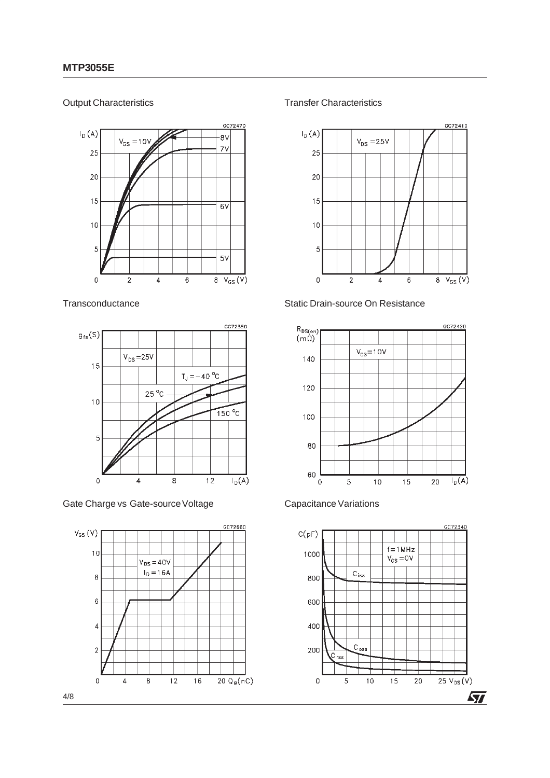#### Output Characteristics



#### **Transconductance**



Gate Charge vs Gate-source Voltage



Transfer Characteristics



#### Static Drain-source On Resistance





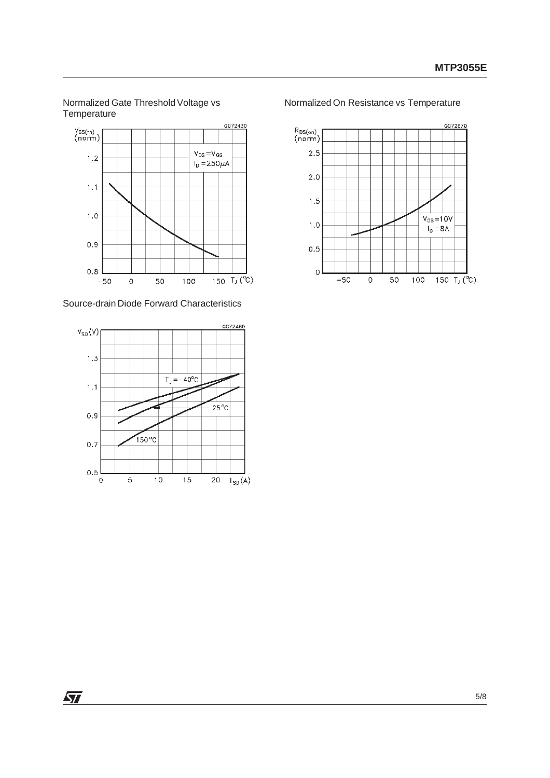Normalized Gate Threshold Voltage vs **Temperature** 



Source-drain Diode Forward Characteristics



Normalized On Resistance vs Temperature



 $\sqrt{2}$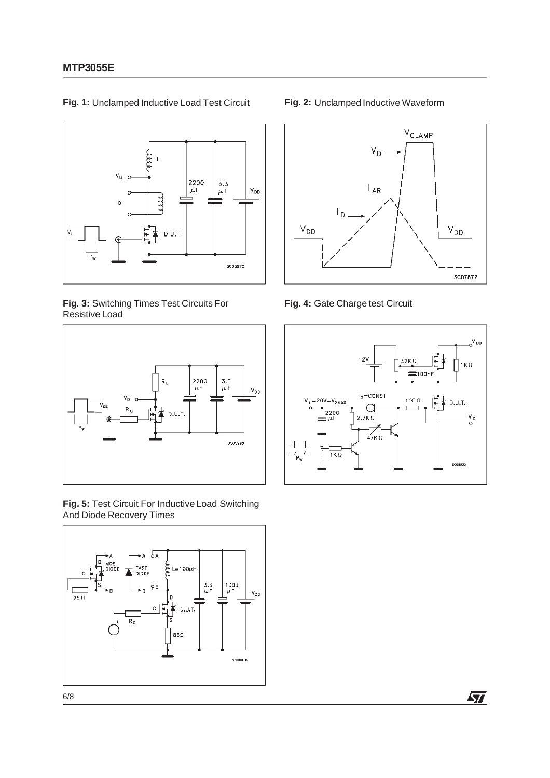

**Fig. 1:** Unclamped Inductive Load Test Circuit

**Fig. 3:** Switching Times Test Circuits For Resistive Load



**Fig. 5:** Test Circuit For Inductive Load Switching And Diode Recovery Times



#### **Fig. 2:** Unclamped Inductive Waveform



**Fig. 4:** Gate Charge test Circuit



 $\sqrt{2}$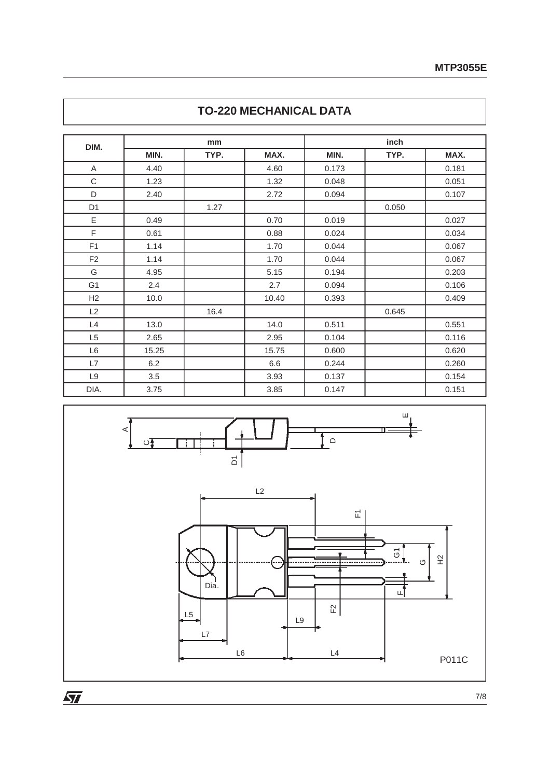| DIM.           |       | mm   |       |       | inch  |       |
|----------------|-------|------|-------|-------|-------|-------|
|                | MIN.  | TYP. | MAX.  | MIN.  | TYP.  | MAX.  |
| A              | 4.40  |      | 4.60  | 0.173 |       | 0.181 |
| C              | 1.23  |      | 1.32  | 0.048 |       | 0.051 |
| D              | 2.40  |      | 2.72  | 0.094 |       | 0.107 |
| D <sub>1</sub> |       | 1.27 |       |       | 0.050 |       |
| E              | 0.49  |      | 0.70  | 0.019 |       | 0.027 |
| F              | 0.61  |      | 0.88  | 0.024 |       | 0.034 |
| F <sub>1</sub> | 1.14  |      | 1.70  | 0.044 |       | 0.067 |
| F <sub>2</sub> | 1.14  |      | 1.70  | 0.044 |       | 0.067 |
| G              | 4.95  |      | 5.15  | 0.194 |       | 0.203 |
| G <sub>1</sub> | 2.4   |      | 2.7   | 0.094 |       | 0.106 |
| H <sub>2</sub> | 10.0  |      | 10.40 | 0.393 |       | 0.409 |
| L2             |       | 16.4 |       |       | 0.645 |       |
| L4             | 13.0  |      | 14.0  | 0.511 |       | 0.551 |
| L <sub>5</sub> | 2.65  |      | 2.95  | 0.104 |       | 0.116 |
| L <sub>6</sub> | 15.25 |      | 15.75 | 0.600 |       | 0.620 |
| L7             | 6.2   |      | 6.6   | 0.244 |       | 0.260 |
| L9             | 3.5   |      | 3.93  | 0.137 |       | 0.154 |
| DIA.           | 3.75  |      | 3.85  | 0.147 |       | 0.151 |

## **TO-220 MECHANICAL DATA**



 $\overline{\mathbf{M}}$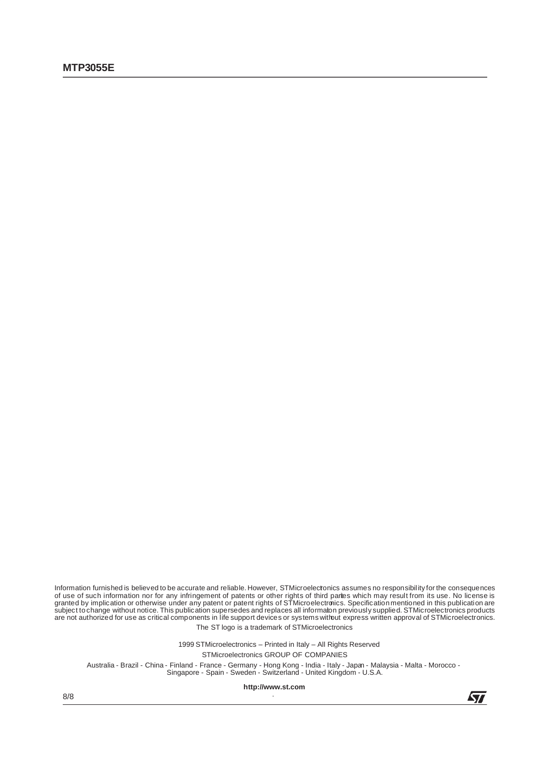Information furnished is believed to be accurate and reliable. However, STMicroelectonics assumes no responsibility for the consequences of use of such information nor for any infringement of patents or other rights of third partes which may result from its use. No license is<br>granted by implication or otherwise under any patent or patent rights of STMicroel The ST logo is a trademark of STMicroelectronics

1999 STMicroelectronics – Printed in Italy – All Rights Reserved

STMicroelectronics GROUP OF COMPANIES

Australia - Brazil - China - Finland - France - Germany - Hong Kong - India - Italy - Japan - Malaysia - Malta - Morocco - Singapore - Spain - Sweden - Switzerland - United Kingdom - U.S.A.

**http://www.st.com** .

8/8

57